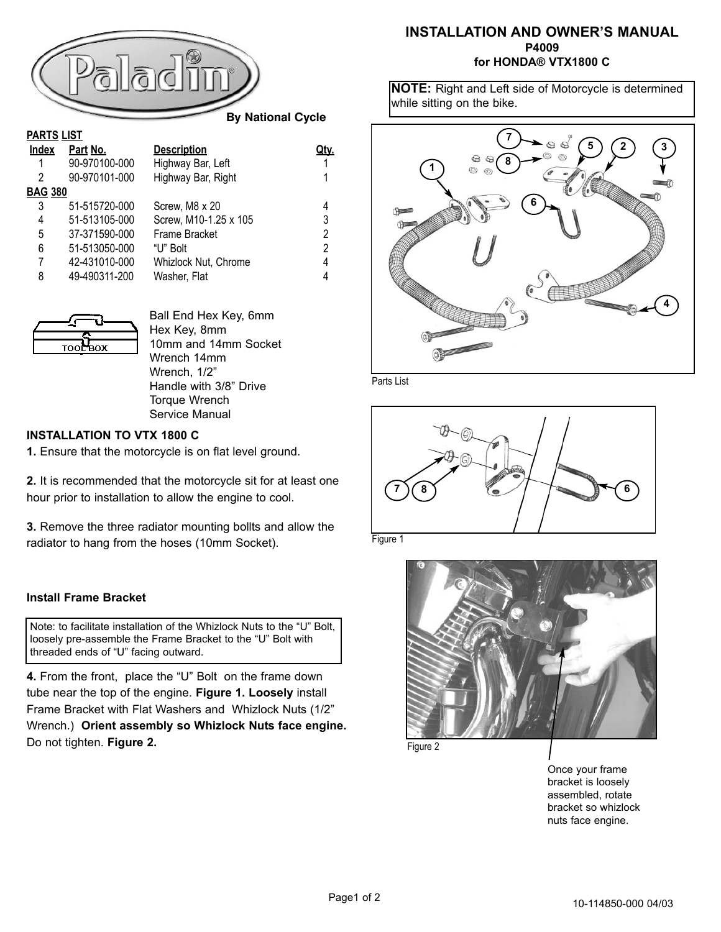

|                | .             | <b>DUUUI IPHUI</b>    | $\mathbf{w}$ |
|----------------|---------------|-----------------------|--------------|
| 1              | 90-970100-000 | Highway Bar, Left     |              |
| $\mathcal{P}$  | 90-970101-000 | Highway Bar, Right    | 1            |
| <b>BAG 380</b> |               |                       |              |
| 3              | 51-515720-000 | Screw, M8 x 20        | 4            |
| 4              | 51-513105-000 | Screw, M10-1.25 x 105 | 3            |
| 5              | 37-371590-000 | Frame Bracket         | 2            |
| 6              | 51-513050-000 | "U" Bolt              | 2            |
| 7              | 42-431010-000 | Whizlock Nut, Chrome  | 4            |
| 8              | 49-490311-200 | Washer, Flat          | 4            |
|                |               |                       |              |



Ball End Hex Key, 6mm Hex Key, 8mm 10mm and 14mm Socket Wrench 14mm Wrench, 1/2" Handle with 3/8" Drive Torque Wrench Service Manual

# **INSTALLATION TO VTX 1800 C**

**1.** Ensure that the motorcycle is on flat level ground.

**2.** It is recommended that the motorcycle sit for at least one hour prior to installation to allow the engine to cool.

**3.** Remove the three radiator mounting bollts and allow the radiator to hang from the hoses (10mm Socket).

#### **Install Frame Bracket**

Note: to facilitate installation of the Whizlock Nuts to the "U" Bolt, loosely pre-assemble the Frame Bracket to the "U" Bolt with threaded ends of "U" facing outward.

**4.** From the front, place the "U" Bolt on the frame down tube near the top of the engine. **Figure 1. Loosely** install Frame Bracket with Flat Washers and Whizlock Nuts (1/2" Wrench.) **Orient assembly so Whizlock Nuts face engine.** Do not tighten. **Figure 2.** 

### **INSTALLATION AND OWNER'S MANUAL P4009 for HONDA® VTX1800 C**

**NOTE:** Right and Left side of Motorcycle is determined while sitting on the bike.



Parts List





Figure 2

Once your frame bracket is loosely assembled, rotate bracket so whizlock nuts face engine.